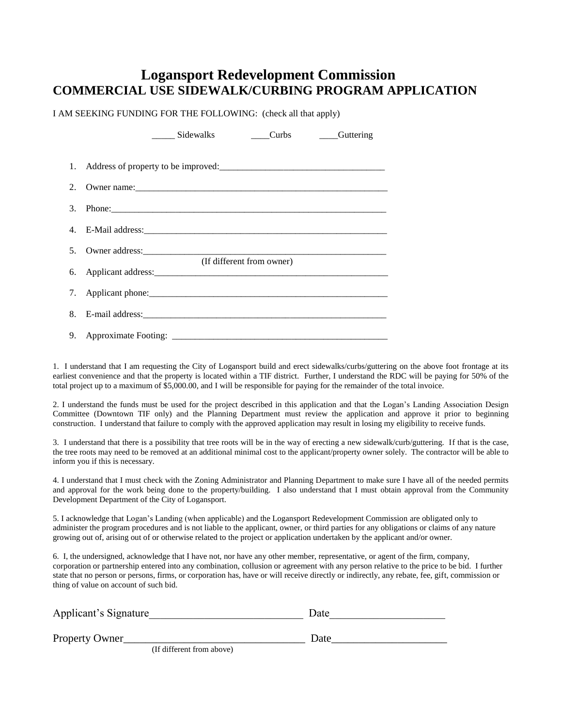## **Logansport Redevelopment Commission COMMERCIAL USE SIDEWALK/CURBING PROGRAM APPLICATION**

I AM SEEKING FUNDING FOR THE FOLLOWING: (check all that apply)

| Sidewalks<br>_____Curbs _______Guttering |
|------------------------------------------|
|                                          |
|                                          |
|                                          |
|                                          |
|                                          |
| (If different from owner)                |
|                                          |
|                                          |
|                                          |

1. I understand that I am requesting the City of Logansport build and erect sidewalks/curbs/guttering on the above foot frontage at its earliest convenience and that the property is located within a TIF district. Further, I understand the RDC will be paying for 50% of the total project up to a maximum of \$5,000.00, and I will be responsible for paying for the remainder of the total invoice.

2. I understand the funds must be used for the project described in this application and that the Logan's Landing Association Design Committee (Downtown TIF only) and the Planning Department must review the application and approve it prior to beginning construction. I understand that failure to comply with the approved application may result in losing my eligibility to receive funds.

3. I understand that there is a possibility that tree roots will be in the way of erecting a new sidewalk/curb/guttering. If that is the case, the tree roots may need to be removed at an additional minimal cost to the applicant/property owner solely. The contractor will be able to inform you if this is necessary.

4. I understand that I must check with the Zoning Administrator and Planning Department to make sure I have all of the needed permits and approval for the work being done to the property/building. I also understand that I must obtain approval from the Community Development Department of the City of Logansport.

5. I acknowledge that Logan's Landing (when applicable) and the Logansport Redevelopment Commission are obligated only to administer the program procedures and is not liable to the applicant, owner, or third parties for any obligations or claims of any nature growing out of, arising out of or otherwise related to the project or application undertaken by the applicant and/or owner.

6. I, the undersigned, acknowledge that I have not, nor have any other member, representative, or agent of the firm, company, corporation or partnership entered into any combination, collusion or agreement with any person relative to the price to be bid. I further state that no person or persons, firms, or corporation has, have or will receive directly or indirectly, any rebate, fee, gift, commission or thing of value on account of such bid.

| Applicant's Signature     | Date |
|---------------------------|------|
| Property Owner            | Date |
| (If different from above) |      |